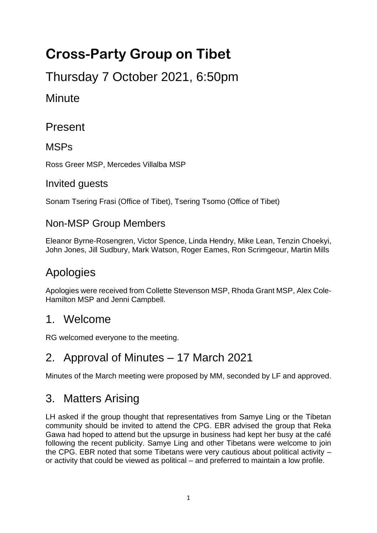# **Cross-Party Group on Tibet**

Thursday 7 October 2021, 6:50pm

# **Minute**

# Present

#### **MSPs**

Ross Greer MSP, Mercedes Villalba MSP

#### Invited guests

Sonam Tsering Frasi (Office of Tibet), Tsering Tsomo (Office of Tibet)

#### Non-MSP Group Members

Eleanor Byrne-Rosengren, Victor Spence, Linda Hendry, Mike Lean, Tenzin Choekyi, John Jones, Jill Sudbury, Mark Watson, Roger Eames, Ron Scrimgeour, Martin Mills

# Apologies

Apologies were received from Collette Stevenson MSP, Rhoda Grant MSP, Alex Cole-Hamilton MSP and Jenni Campbell.

### 1. Welcome

RG welcomed everyone to the meeting.

# 2. Approval of Minutes – 17 March 2021

Minutes of the March meeting were proposed by MM, seconded by LF and approved.

# 3. Matters Arising

LH asked if the group thought that representatives from Samye Ling or the Tibetan community should be invited to attend the CPG. EBR advised the group that Reka Gawa had hoped to attend but the upsurge in business had kept her busy at the café following the recent publicity. Samye Ling and other Tibetans were welcome to join the CPG. EBR noted that some Tibetans were very cautious about political activity – or activity that could be viewed as political – and preferred to maintain a low profile.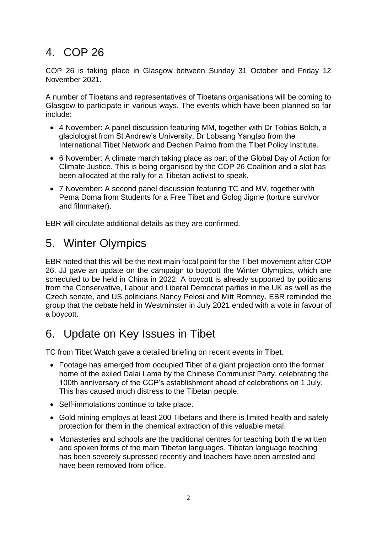# 4. COP 26

COP 26 is taking place in Glasgow between Sunday 31 October and Friday 12 November 2021.

A number of Tibetans and representatives of Tibetans organisations will be coming to Glasgow to participate in various ways. The events which have been planned so far include:

- 4 November: A panel discussion featuring MM, together with Dr Tobias Bolch, a glaciologist from St Andrew's University, Dr Lobsang Yangtso from the International Tibet Network and Dechen Palmo from the Tibet Policy Institute.
- 6 November: A climate march taking place as part of the Global Day of Action for Climate Justice. This is being organised by the COP 26 Coalition and a slot has been allocated at the rally for a Tibetan activist to speak.
- 7 November: A second panel discussion featuring TC and MV, together with Pema Doma from Students for a Free Tibet and Golog Jigme (torture survivor and filmmaker).

EBR will circulate additional details as they are confirmed.

### 5. Winter Olympics

EBR noted that this will be the next main focal point for the Tibet movement after COP 26. JJ gave an update on the campaign to boycott the Winter Olympics, which are scheduled to be held in China in 2022. A boycott is already supported by politicians from the Conservative, Labour and Liberal Democrat parties in the UK as well as the Czech senate, and US politicians Nancy Pelosi and Mitt Romney. EBR reminded the group that the debate held in Westminster in July 2021 ended with a vote in favour of a boycott.

# 6. Update on Key Issues in Tibet

TC from Tibet Watch gave a detailed briefing on recent events in Tibet.

- Footage has emerged from occupied Tibet of a giant projection onto the former home of the exiled Dalai Lama by the Chinese Communist Party, celebrating the 100th anniversary of the CCP's establishment ahead of celebrations on 1 July. This has caused much distress to the Tibetan people.
- Self-immolations continue to take place.
- Gold mining employs at least 200 Tibetans and there is limited health and safety protection for them in the chemical extraction of this valuable metal.
- Monasteries and schools are the traditional centres for teaching both the written and spoken forms of the main Tibetan languages. Tibetan language teaching has been severely supressed recently and teachers have been arrested and have been removed from office.